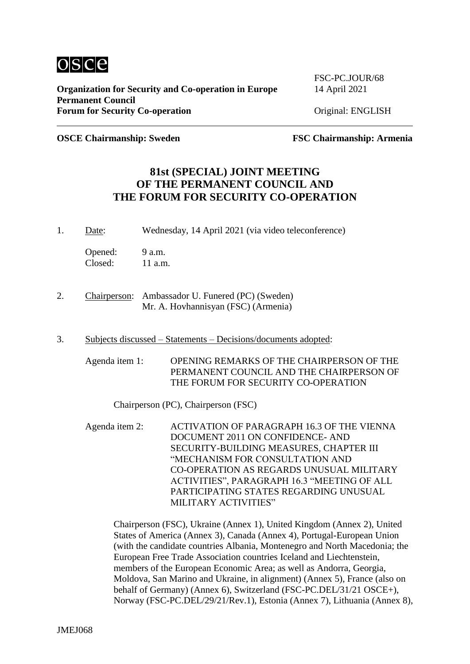

**OSCE Chairmanship: Sweden FSC Chairmanship: Armenia**

### **81st (SPECIAL) JOINT MEETING OF THE PERMANENT COUNCIL AND THE FORUM FOR SECURITY CO-OPERATION**

1. Date: Wednesday, 14 April 2021 (via video teleconference)

Opened: 9 a.m. Closed: 11 a.m.

- 2. Chairperson: Ambassador U. Funered (PC) (Sweden) Mr. A. Hovhannisyan (FSC) (Armenia)
- 3. Subjects discussed Statements Decisions/documents adopted:

Agenda item 1: OPENING REMARKS OF THE CHAIRPERSON OF THE PERMANENT COUNCIL AND THE CHAIRPERSON OF THE FORUM FOR SECURITY CO-OPERATION

Chairperson (PC), Chairperson (FSC)

Agenda item 2: ACTIVATION OF PARAGRAPH 16.3 OF THE VIENNA DOCUMENT 2011 ON CONFIDENCE- AND SECURITY-BUILDING MEASURES, CHAPTER III "MECHANISM FOR CONSULTATION AND CO-OPERATION AS REGARDS UNUSUAL MILITARY ACTIVITIES", PARAGRAPH 16.3 "MEETING OF ALL PARTICIPATING STATES REGARDING UNUSUAL MILITARY ACTIVITIES"

Chairperson (FSC), Ukraine (Annex 1), United Kingdom (Annex 2), United States of America (Annex 3), Canada (Annex 4), Portugal-European Union (with the candidate countries Albania, Montenegro and North Macedonia; the European Free Trade Association countries Iceland and Liechtenstein, members of the European Economic Area; as well as Andorra, Georgia, Moldova, San Marino and Ukraine, in alignment) (Annex 5), France (also on behalf of Germany) (Annex 6), Switzerland (FSC-PC.DEL/31/21 OSCE+), Norway (FSC-PC.DEL/29/21/Rev.1), Estonia (Annex 7), Lithuania (Annex 8),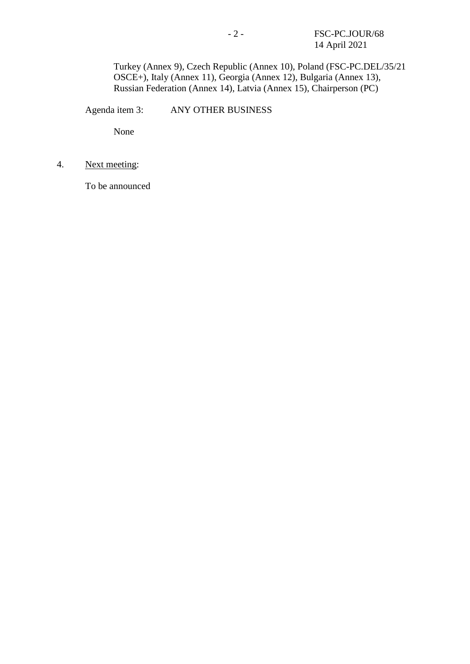Turkey (Annex 9), Czech Republic (Annex 10), Poland (FSC-PC.DEL/35/21 OSCE+), Italy (Annex 11), Georgia (Annex 12), Bulgaria (Annex 13), Russian Federation (Annex 14), Latvia (Annex 15), Chairperson (PC)

Agenda item 3: ANY OTHER BUSINESS

None

4. Next meeting:

To be announced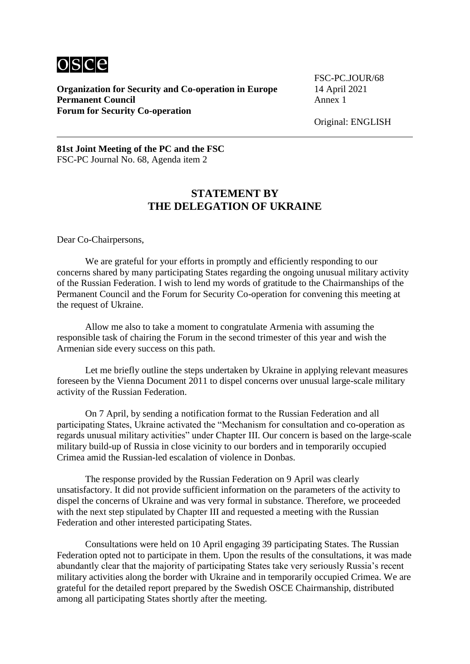

**Organization for Security and Co-operation in Europe** 14 April 2021<br>**Permanent Council** Annex 1 **Permanent Council Forum for Security Co-operation**

FSC-PC.JOUR/68

Original: ENGLISH

**81st Joint Meeting of the PC and the FSC** FSC-PC Journal No. 68, Agenda item 2

### **STATEMENT BY THE DELEGATION OF UKRAINE**

Dear Co-Chairpersons,

We are grateful for your efforts in promptly and efficiently responding to our concerns shared by many participating States regarding the ongoing unusual military activity of the Russian Federation. I wish to lend my words of gratitude to the Chairmanships of the Permanent Council and the Forum for Security Co-operation for convening this meeting at the request of Ukraine.

Allow me also to take a moment to congratulate Armenia with assuming the responsible task of chairing the Forum in the second trimester of this year and wish the Armenian side every success on this path.

Let me briefly outline the steps undertaken by Ukraine in applying relevant measures foreseen by the Vienna Document 2011 to dispel concerns over unusual large-scale military activity of the Russian Federation.

On 7 April, by sending a notification format to the Russian Federation and all participating States, Ukraine activated the "Mechanism for consultation and co-operation as regards unusual military activities" under Chapter III. Our concern is based on the large-scale military build-up of Russia in close vicinity to our borders and in temporarily occupied Crimea amid the Russian-led escalation of violence in Donbas.

The response provided by the Russian Federation on 9 April was clearly unsatisfactory. It did not provide sufficient information on the parameters of the activity to dispel the concerns of Ukraine and was very formal in substance. Therefore, we proceeded with the next step stipulated by Chapter III and requested a meeting with the Russian Federation and other interested participating States.

Consultations were held on 10 April engaging 39 participating States. The Russian Federation opted not to participate in them. Upon the results of the consultations, it was made abundantly clear that the majority of participating States take very seriously Russia's recent military activities along the border with Ukraine and in temporarily occupied Crimea. We are grateful for the detailed report prepared by the Swedish OSCE Chairmanship, distributed among all participating States shortly after the meeting.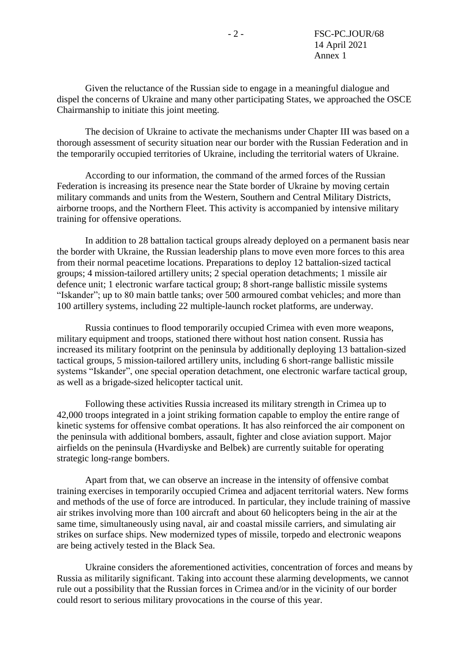Given the reluctance of the Russian side to engage in a meaningful dialogue and dispel the concerns of Ukraine and many other participating States, we approached the OSCE Chairmanship to initiate this joint meeting.

The decision of Ukraine to activate the mechanisms under Chapter III was based on a thorough assessment of security situation near our border with the Russian Federation and in the temporarily occupied territories of Ukraine, including the territorial waters of Ukraine.

According to our information, the command of the armed forces of the Russian Federation is increasing its presence near the State border of Ukraine by moving certain military commands and units from the Western, Southern and Central Military Districts, airborne troops, and the Northern Fleet. This activity is accompanied by intensive military training for offensive operations.

In addition to 28 battalion tactical groups already deployed on a permanent basis near the border with Ukraine, the Russian leadership plans to move even more forces to this area from their normal peacetime locations. Preparations to deploy 12 battalion-sized tactical groups; 4 mission-tailored artillery units; 2 special operation detachments; 1 missile air defence unit; 1 electronic warfare tactical group; 8 short-range ballistic missile systems "Iskander"; up to 80 main battle tanks; over 500 armoured combat vehicles; and more than 100 artillery systems, including 22 multiple-launch rocket platforms, are underway.

Russia continues to flood temporarily occupied Crimea with even more weapons, military equipment and troops, stationed there without host nation consent. Russia has increased its military footprint on the peninsula by additionally deploying 13 battalion-sized tactical groups, 5 mission-tailored artillery units, including 6 short-range ballistic missile systems "Iskander", one special operation detachment, one electronic warfare tactical group, as well as a brigade-sized helicopter tactical unit.

Following these activities Russia increased its military strength in Crimea up to 42,000 troops integrated in a joint striking formation capable to employ the entire range of kinetic systems for offensive combat operations. It has also reinforced the air component on the peninsula with additional bombers, assault, fighter and close aviation support. Major airfields on the peninsula (Hvardiyske and Belbek) are currently suitable for operating strategic long-range bombers.

Apart from that, we can observe an increase in the intensity of offensive combat training exercises in temporarily occupied Crimea and adjacent territorial waters. New forms and methods of the use of force are introduced. In particular, they include training of massive air strikes involving more than 100 aircraft and about 60 helicopters being in the air at the same time, simultaneously using naval, air and coastal missile carriers, and simulating air strikes on surface ships. New modernized types of missile, torpedo and electronic weapons are being actively tested in the Black Sea.

Ukraine considers the aforementioned activities, concentration of forces and means by Russia as militarily significant. Taking into account these alarming developments, we cannot rule out a possibility that the Russian forces in Crimea and/or in the vicinity of our border could resort to serious military provocations in the course of this year.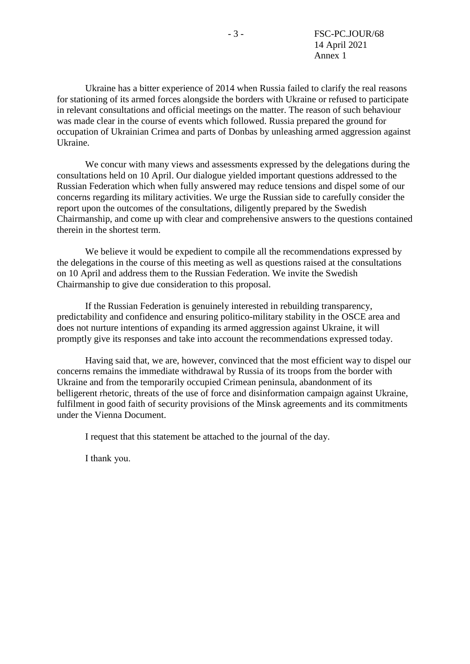Ukraine has a bitter experience of 2014 when Russia failed to clarify the real reasons for stationing of its armed forces alongside the borders with Ukraine or refused to participate in relevant consultations and official meetings on the matter. The reason of such behaviour was made clear in the course of events which followed. Russia prepared the ground for occupation of Ukrainian Crimea and parts of Donbas by unleashing armed aggression against Ukraine.

We concur with many views and assessments expressed by the delegations during the consultations held on 10 April. Our dialogue yielded important questions addressed to the Russian Federation which when fully answered may reduce tensions and dispel some of our concerns regarding its military activities. We urge the Russian side to carefully consider the report upon the outcomes of the consultations, diligently prepared by the Swedish Chairmanship, and come up with clear and comprehensive answers to the questions contained therein in the shortest term.

We believe it would be expedient to compile all the recommendations expressed by the delegations in the course of this meeting as well as questions raised at the consultations on 10 April and address them to the Russian Federation. We invite the Swedish Chairmanship to give due consideration to this proposal.

If the Russian Federation is genuinely interested in rebuilding transparency, predictability and confidence and ensuring politico-military stability in the OSCE area and does not nurture intentions of expanding its armed aggression against Ukraine, it will promptly give its responses and take into account the recommendations expressed today.

Having said that, we are, however, convinced that the most efficient way to dispel our concerns remains the immediate withdrawal by Russia of its troops from the border with Ukraine and from the temporarily occupied Crimean peninsula, abandonment of its belligerent rhetoric, threats of the use of force and disinformation campaign against Ukraine, fulfilment in good faith of security provisions of the Minsk agreements and its commitments under the Vienna Document.

I request that this statement be attached to the journal of the day.

І thank you.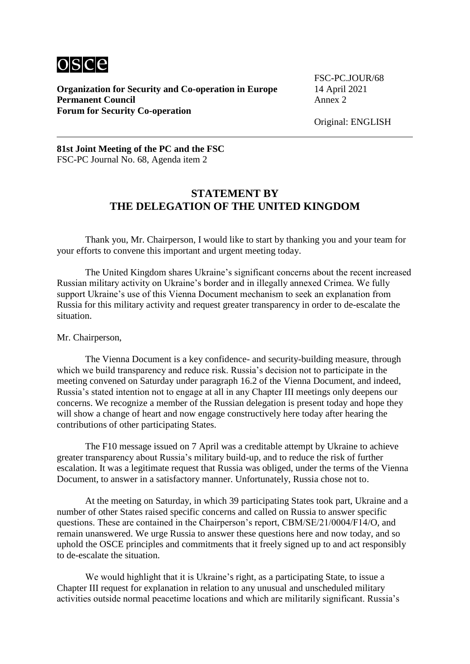

**Organization for Security and Co-operation in Europe** 14 April 2021<br>**Permanent Council** Annex 2 **Permanent Council Forum for Security Co-operation**

FSC-PC.JOUR/68

Original: ENGLISH

#### **81st Joint Meeting of the PC and the FSC** FSC-PC Journal No. 68, Agenda item 2

# **STATEMENT BY THE DELEGATION OF THE UNITED KINGDOM**

Thank you, Mr. Chairperson, I would like to start by thanking you and your team for your efforts to convene this important and urgent meeting today.

The United Kingdom shares Ukraine's significant concerns about the recent increased Russian military activity on Ukraine's border and in illegally annexed Crimea. We fully support Ukraine's use of this Vienna Document mechanism to seek an explanation from Russia for this military activity and request greater transparency in order to de-escalate the situation.

#### Mr. Chairperson,

The Vienna Document is a key confidence- and security-building measure, through which we build transparency and reduce risk. Russia's decision not to participate in the meeting convened on Saturday under paragraph 16.2 of the Vienna Document, and indeed, Russia's stated intention not to engage at all in any Chapter III meetings only deepens our concerns. We recognize a member of the Russian delegation is present today and hope they will show a change of heart and now engage constructively here today after hearing the contributions of other participating States.

The F10 message issued on 7 April was a creditable attempt by Ukraine to achieve greater transparency about Russia's military build-up, and to reduce the risk of further escalation. It was a legitimate request that Russia was obliged, under the terms of the Vienna Document, to answer in a satisfactory manner. Unfortunately, Russia chose not to.

At the meeting on Saturday, in which 39 participating States took part, Ukraine and a number of other States raised specific concerns and called on Russia to answer specific questions. These are contained in the Chairperson's report, CBM/SE/21/0004/F14/O, and remain unanswered. We urge Russia to answer these questions here and now today, and so uphold the OSCE principles and commitments that it freely signed up to and act responsibly to de-escalate the situation.

We would highlight that it is Ukraine's right, as a participating State, to issue a Chapter III request for explanation in relation to any unusual and unscheduled military activities outside normal peacetime locations and which are militarily significant. Russia's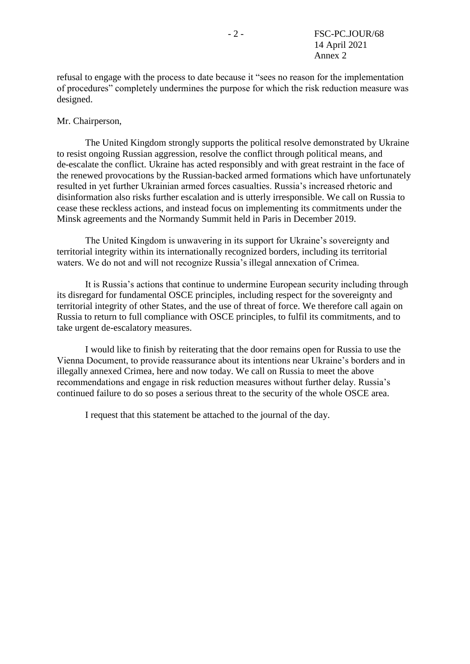refusal to engage with the process to date because it "sees no reason for the implementation of procedures" completely undermines the purpose for which the risk reduction measure was designed.

#### Mr. Chairperson,

The United Kingdom strongly supports the political resolve demonstrated by Ukraine to resist ongoing Russian aggression, resolve the conflict through political means, and de-escalate the conflict. Ukraine has acted responsibly and with great restraint in the face of the renewed provocations by the Russian-backed armed formations which have unfortunately resulted in yet further Ukrainian armed forces casualties. Russia's increased rhetoric and disinformation also risks further escalation and is utterly irresponsible. We call on Russia to cease these reckless actions, and instead focus on implementing its commitments under the Minsk agreements and the Normandy Summit held in Paris in December 2019.

The United Kingdom is unwavering in its support for Ukraine's sovereignty and territorial integrity within its internationally recognized borders, including its territorial waters. We do not and will not recognize Russia's illegal annexation of Crimea.

It is Russia's actions that continue to undermine European security including through its disregard for fundamental OSCE principles, including respect for the sovereignty and territorial integrity of other States, and the use of threat of force. We therefore call again on Russia to return to full compliance with OSCE principles, to fulfil its commitments, and to take urgent de-escalatory measures.

I would like to finish by reiterating that the door remains open for Russia to use the Vienna Document, to provide reassurance about its intentions near Ukraine's borders and in illegally annexed Crimea, here and now today. We call on Russia to meet the above recommendations and engage in risk reduction measures without further delay. Russia's continued failure to do so poses a serious threat to the security of the whole OSCE area.

I request that this statement be attached to the journal of the day.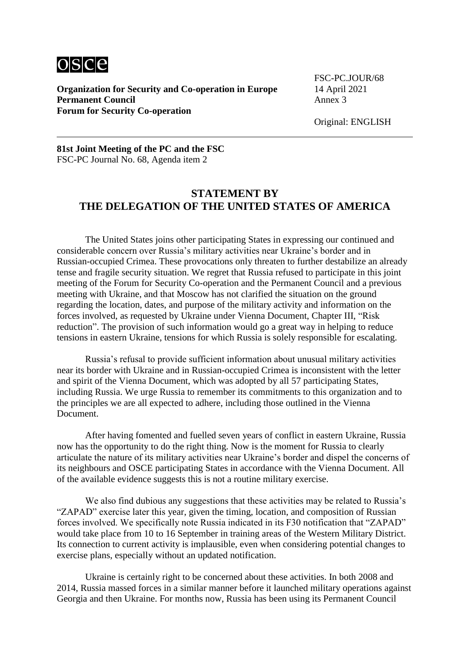

**Organization for Security and Co-operation in Europe** 14 April 2021<br>**Permanent Council** Annex 3 **Permanent Council Forum for Security Co-operation**

FSC-PC.JOUR/68

#### **81st Joint Meeting of the PC and the FSC** FSC-PC Journal No. 68, Agenda item 2

# **STATEMENT BY THE DELEGATION OF THE UNITED STATES OF AMERICA**

The United States joins other participating States in expressing our continued and considerable concern over Russia's military activities near Ukraine's border and in Russian-occupied Crimea. These provocations only threaten to further destabilize an already tense and fragile security situation. We regret that Russia refused to participate in this joint meeting of the Forum for Security Co-operation and the Permanent Council and a previous meeting with Ukraine, and that Moscow has not clarified the situation on the ground regarding the location, dates, and purpose of the military activity and information on the forces involved, as requested by Ukraine under Vienna Document, Chapter III, "Risk reduction". The provision of such information would go a great way in helping to reduce tensions in eastern Ukraine, tensions for which Russia is solely responsible for escalating.

Russia's refusal to provide sufficient information about unusual military activities near its border with Ukraine and in Russian-occupied Crimea is inconsistent with the letter and spirit of the Vienna Document, which was adopted by all 57 participating States, including Russia. We urge Russia to remember its commitments to this organization and to the principles we are all expected to adhere, including those outlined in the Vienna Document.

After having fomented and fuelled seven years of conflict in eastern Ukraine, Russia now has the opportunity to do the right thing. Now is the moment for Russia to clearly articulate the nature of its military activities near Ukraine's border and dispel the concerns of its neighbours and OSCE participating States in accordance with the Vienna Document. All of the available evidence suggests this is not a routine military exercise.

We also find dubious any suggestions that these activities may be related to Russia's "ZAPAD" exercise later this year, given the timing, location, and composition of Russian forces involved. We specifically note Russia indicated in its F30 notification that "ZAPAD" would take place from 10 to 16 September in training areas of the Western Military District. Its connection to current activity is implausible, even when considering potential changes to exercise plans, especially without an updated notification.

Ukraine is certainly right to be concerned about these activities. In both 2008 and 2014, Russia massed forces in a similar manner before it launched military operations against Georgia and then Ukraine. For months now, Russia has been using its Permanent Council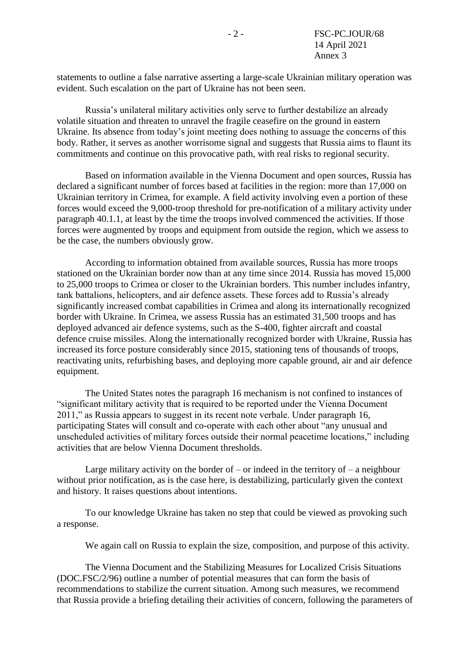statements to outline a false narrative asserting a large-scale Ukrainian military operation was evident. Such escalation on the part of Ukraine has not been seen.

Russia's unilateral military activities only serve to further destabilize an already volatile situation and threaten to unravel the fragile ceasefire on the ground in eastern Ukraine. Its absence from today's joint meeting does nothing to assuage the concerns of this body. Rather, it serves as another worrisome signal and suggests that Russia aims to flaunt its commitments and continue on this provocative path, with real risks to regional security.

Based on information available in the Vienna Document and open sources, Russia has declared a significant number of forces based at facilities in the region: more than 17,000 on Ukrainian territory in Crimea, for example. A field activity involving even a portion of these forces would exceed the 9,000-troop threshold for pre-notification of a military activity under paragraph 40.1.1, at least by the time the troops involved commenced the activities. If those forces were augmented by troops and equipment from outside the region, which we assess to be the case, the numbers obviously grow.

According to information obtained from available sources, Russia has more troops stationed on the Ukrainian border now than at any time since 2014. Russia has moved 15,000 to 25,000 troops to Crimea or closer to the Ukrainian borders. This number includes infantry, tank battalions, helicopters, and air defence assets. These forces add to Russia's already significantly increased combat capabilities in Crimea and along its internationally recognized border with Ukraine. In Crimea, we assess Russia has an estimated 31,500 troops and has deployed advanced air defence systems, such as the S-400, fighter aircraft and coastal defence cruise missiles. Along the internationally recognized border with Ukraine, Russia has increased its force posture considerably since 2015, stationing tens of thousands of troops, reactivating units, refurbishing bases, and deploying more capable ground, air and air defence equipment.

The United States notes the paragraph 16 mechanism is not confined to instances of "significant military activity that is required to be reported under the Vienna Document 2011," as Russia appears to suggest in its recent note verbale. Under paragraph 16, participating States will consult and co-operate with each other about "any unusual and unscheduled activities of military forces outside their normal peacetime locations," including activities that are below Vienna Document thresholds.

Large military activity on the border of – or indeed in the territory of – a neighbour without prior notification, as is the case here, is destabilizing, particularly given the context and history. It raises questions about intentions.

To our knowledge Ukraine has taken no step that could be viewed as provoking such a response.

We again call on Russia to explain the size, composition, and purpose of this activity.

The Vienna Document and the Stabilizing Measures for Localized Crisis Situations (DOC.FSC/2/96) outline a number of potential measures that can form the basis of recommendations to stabilize the current situation. Among such measures, we recommend that Russia provide a briefing detailing their activities of concern, following the parameters of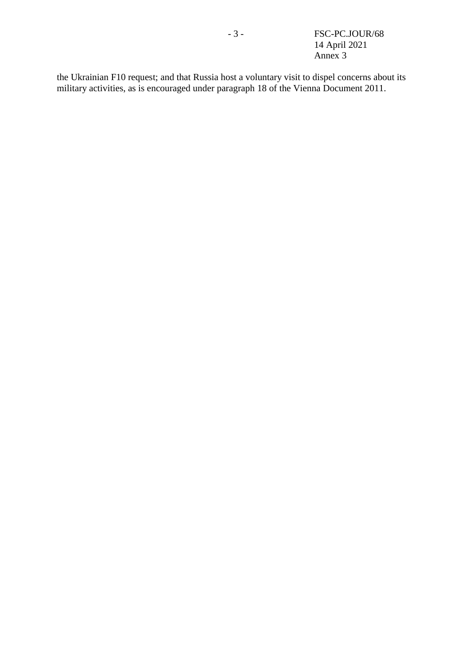the Ukrainian F10 request; and that Russia host a voluntary visit to dispel concerns about its military activities, as is encouraged under paragraph 18 of the Vienna Document 2011.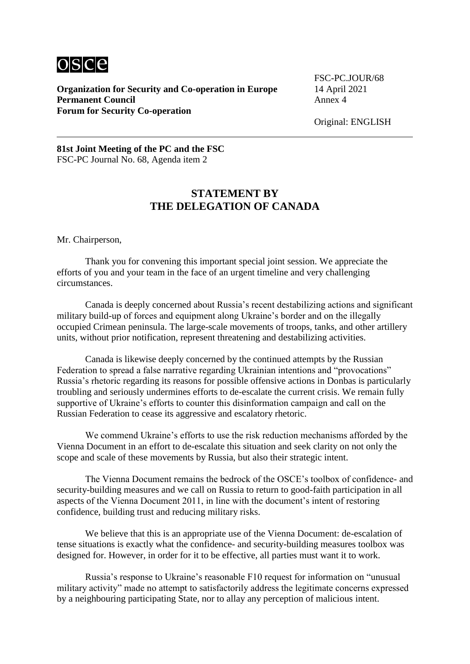

**Organization for Security and Co-operation in Europe** 14 April 2021<br>**Permanent Council** Annex 4 **Permanent Council Forum for Security Co-operation**

FSC-PC.JOUR/68

Original: ENGLISH

**81st Joint Meeting of the PC and the FSC** FSC-PC Journal No. 68, Agenda item 2

### **STATEMENT BY THE DELEGATION OF CANADA**

Mr. Chairperson,

Thank you for convening this important special joint session. We appreciate the efforts of you and your team in the face of an urgent timeline and very challenging circumstances.

Canada is deeply concerned about Russia's recent destabilizing actions and significant military build-up of forces and equipment along Ukraine's border and on the illegally occupied Crimean peninsula. The large-scale movements of troops, tanks, and other artillery units, without prior notification, represent threatening and destabilizing activities.

Canada is likewise deeply concerned by the continued attempts by the Russian Federation to spread a false narrative regarding Ukrainian intentions and "provocations" Russia's rhetoric regarding its reasons for possible offensive actions in Donbas is particularly troubling and seriously undermines efforts to de-escalate the current crisis. We remain fully supportive of Ukraine's efforts to counter this disinformation campaign and call on the Russian Federation to cease its aggressive and escalatory rhetoric.

We commend Ukraine's efforts to use the risk reduction mechanisms afforded by the Vienna Document in an effort to de-escalate this situation and seek clarity on not only the scope and scale of these movements by Russia, but also their strategic intent.

The Vienna Document remains the bedrock of the OSCE's toolbox of confidence- and security-building measures and we call on Russia to return to good-faith participation in all aspects of the Vienna Document 2011, in line with the document's intent of restoring confidence, building trust and reducing military risks.

We believe that this is an appropriate use of the Vienna Document: de-escalation of tense situations is exactly what the confidence- and security-building measures toolbox was designed for. However, in order for it to be effective, all parties must want it to work.

Russia's response to Ukraine's reasonable F10 request for information on "unusual military activity" made no attempt to satisfactorily address the legitimate concerns expressed by a neighbouring participating State, nor to allay any perception of malicious intent.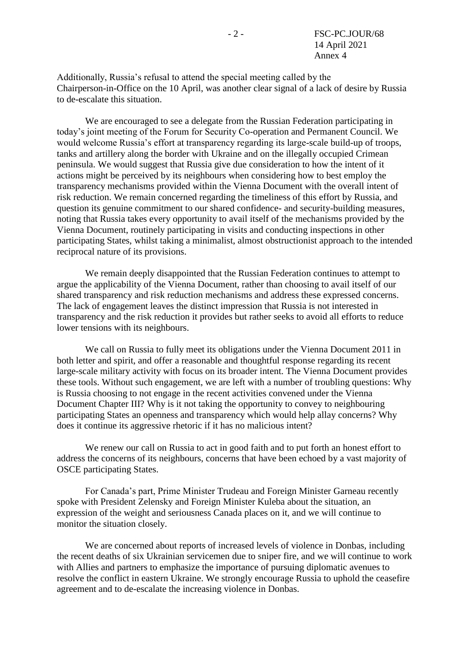Additionally, Russia's refusal to attend the special meeting called by the Chairperson-in-Office on the 10 April, was another clear signal of a lack of desire by Russia to de-escalate this situation.

We are encouraged to see a delegate from the Russian Federation participating in today's joint meeting of the Forum for Security Co-operation and Permanent Council. We would welcome Russia's effort at transparency regarding its large-scale build-up of troops, tanks and artillery along the border with Ukraine and on the illegally occupied Crimean peninsula. We would suggest that Russia give due consideration to how the intent of it actions might be perceived by its neighbours when considering how to best employ the transparency mechanisms provided within the Vienna Document with the overall intent of risk reduction. We remain concerned regarding the timeliness of this effort by Russia, and question its genuine commitment to our shared confidence- and security-building measures, noting that Russia takes every opportunity to avail itself of the mechanisms provided by the Vienna Document, routinely participating in visits and conducting inspections in other participating States, whilst taking a minimalist, almost obstructionist approach to the intended reciprocal nature of its provisions.

We remain deeply disappointed that the Russian Federation continues to attempt to argue the applicability of the Vienna Document, rather than choosing to avail itself of our shared transparency and risk reduction mechanisms and address these expressed concerns. The lack of engagement leaves the distinct impression that Russia is not interested in transparency and the risk reduction it provides but rather seeks to avoid all efforts to reduce lower tensions with its neighbours.

We call on Russia to fully meet its obligations under the Vienna Document 2011 in both letter and spirit, and offer a reasonable and thoughtful response regarding its recent large-scale military activity with focus on its broader intent. The Vienna Document provides these tools. Without such engagement, we are left with a number of troubling questions: Why is Russia choosing to not engage in the recent activities convened under the Vienna Document Chapter III? Why is it not taking the opportunity to convey to neighbouring participating States an openness and transparency which would help allay concerns? Why does it continue its aggressive rhetoric if it has no malicious intent?

We renew our call on Russia to act in good faith and to put forth an honest effort to address the concerns of its neighbours, concerns that have been echoed by a vast majority of OSCE participating States.

For Canada's part, Prime Minister Trudeau and Foreign Minister Garneau recently spoke with President Zelensky and Foreign Minister Kuleba about the situation, an expression of the weight and seriousness Canada places on it, and we will continue to monitor the situation closely.

We are concerned about reports of increased levels of violence in Donbas, including the recent deaths of six Ukrainian servicemen due to sniper fire, and we will continue to work with Allies and partners to emphasize the importance of pursuing diplomatic avenues to resolve the conflict in eastern Ukraine. We strongly encourage Russia to uphold the ceasefire agreement and to de-escalate the increasing violence in Donbas.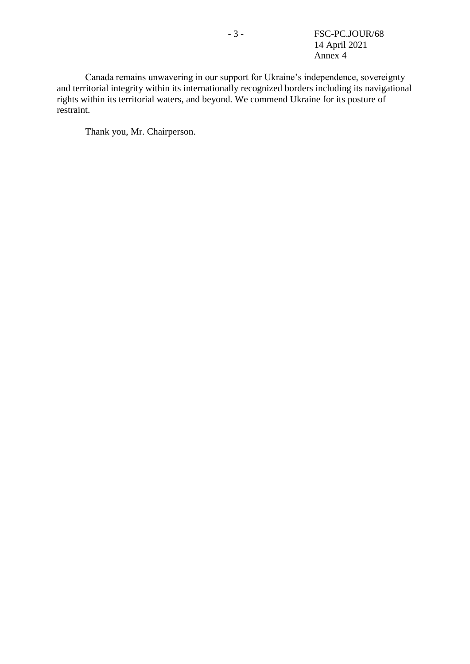- 3 - FSC-PC.JOUR/68 14 April 2021 Annex 4

Canada remains unwavering in our support for Ukraine's independence, sovereignty and territorial integrity within its internationally recognized borders including its navigational rights within its territorial waters, and beyond. We commend Ukraine for its posture of restraint.

Thank you, Mr. Chairperson.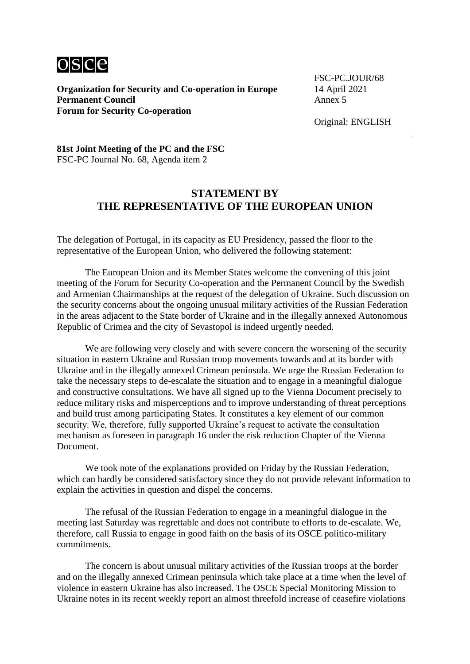

**Organization for Security and Co-operation in Europe** 14 April 2021<br>**Permanent Council** Annex 5 **Permanent Council Forum for Security Co-operation**

FSC-PC.JOUR/68

Original: ENGLISH

#### **81st Joint Meeting of the PC and the FSC** FSC-PC Journal No. 68, Agenda item 2

### **STATEMENT BY THE REPRESENTATIVE OF THE EUROPEAN UNION**

The delegation of Portugal, in its capacity as EU Presidency, passed the floor to the representative of the European Union, who delivered the following statement:

The European Union and its Member States welcome the convening of this joint meeting of the Forum for Security Co-operation and the Permanent Council by the Swedish and Armenian Chairmanships at the request of the delegation of Ukraine. Such discussion on the security concerns about the ongoing unusual military activities of the Russian Federation in the areas adjacent to the State border of Ukraine and in the illegally annexed Autonomous Republic of Crimea and the city of Sevastopol is indeed urgently needed.

We are following very closely and with severe concern the worsening of the security situation in eastern Ukraine and Russian troop movements towards and at its border with Ukraine and in the illegally annexed Crimean peninsula. We urge the Russian Federation to take the necessary steps to de-escalate the situation and to engage in a meaningful dialogue and constructive consultations. We have all signed up to the Vienna Document precisely to reduce military risks and misperceptions and to improve understanding of threat perceptions and build trust among participating States. It constitutes a key element of our common security. We, therefore, fully supported Ukraine's request to activate the consultation mechanism as foreseen in paragraph 16 under the risk reduction Chapter of the Vienna Document.

We took note of the explanations provided on Friday by the Russian Federation, which can hardly be considered satisfactory since they do not provide relevant information to explain the activities in question and dispel the concerns.

The refusal of the Russian Federation to engage in a meaningful dialogue in the meeting last Saturday was regrettable and does not contribute to efforts to de-escalate. We, therefore, call Russia to engage in good faith on the basis of its OSCE politico-military commitments.

The concern is about unusual military activities of the Russian troops at the border and on the illegally annexed Crimean peninsula which take place at a time when the level of violence in eastern Ukraine has also increased. The OSCE Special Monitoring Mission to Ukraine notes in its recent weekly report an almost threefold increase of ceasefire violations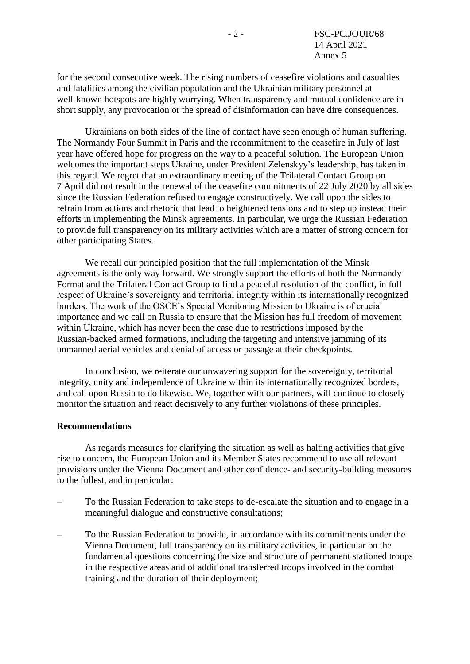for the second consecutive week. The rising numbers of ceasefire violations and casualties and fatalities among the civilian population and the Ukrainian military personnel at well-known hotspots are highly worrying. When transparency and mutual confidence are in short supply, any provocation or the spread of disinformation can have dire consequences.

Ukrainians on both sides of the line of contact have seen enough of human suffering. The Normandy Four Summit in Paris and the recommitment to the ceasefire in July of last year have offered hope for progress on the way to a peaceful solution. The European Union welcomes the important steps Ukraine, under President Zelenskyy's leadership, has taken in this regard. We regret that an extraordinary meeting of the Trilateral Contact Group on 7 April did not result in the renewal of the ceasefire commitments of 22 July 2020 by all sides since the Russian Federation refused to engage constructively. We call upon the sides to refrain from actions and rhetoric that lead to heightened tensions and to step up instead their efforts in implementing the Minsk agreements. In particular, we urge the Russian Federation to provide full transparency on its military activities which are a matter of strong concern for other participating States.

We recall our principled position that the full implementation of the Minsk agreements is the only way forward. We strongly support the efforts of both the Normandy Format and the Trilateral Contact Group to find a peaceful resolution of the conflict, in full respect of Ukraine's sovereignty and territorial integrity within its internationally recognized borders. The work of the OSCE's Special Monitoring Mission to Ukraine is of crucial importance and we call on Russia to ensure that the Mission has full freedom of movement within Ukraine, which has never been the case due to restrictions imposed by the Russian-backed armed formations, including the targeting and intensive jamming of its unmanned aerial vehicles and denial of access or passage at their checkpoints.

In conclusion, we reiterate our unwavering support for the sovereignty, territorial integrity, unity and independence of Ukraine within its internationally recognized borders, and call upon Russia to do likewise. We, together with our partners, will continue to closely monitor the situation and react decisively to any further violations of these principles.

#### **Recommendations**

As regards measures for clarifying the situation as well as halting activities that give rise to concern, the European Union and its Member States recommend to use all relevant provisions under the Vienna Document and other confidence- and security-building measures to the fullest, and in particular:

- To the Russian Federation to take steps to de-escalate the situation and to engage in a meaningful dialogue and constructive consultations;
- To the Russian Federation to provide, in accordance with its commitments under the Vienna Document, full transparency on its military activities, in particular on the fundamental questions concerning the size and structure of permanent stationed troops in the respective areas and of additional transferred troops involved in the combat training and the duration of their deployment;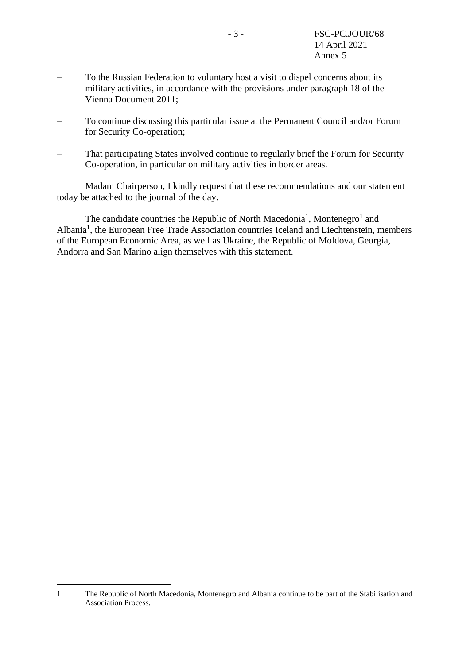- To the Russian Federation to voluntary host a visit to dispel concerns about its military activities, in accordance with the provisions under paragraph 18 of the Vienna Document 2011;
- To continue discussing this particular issue at the Permanent Council and/or Forum for Security Co-operation;
- That participating States involved continue to regularly brief the Forum for Security Co-operation, in particular on military activities in border areas.

Madam Chairperson, I kindly request that these recommendations and our statement today be attached to the journal of the day.

<span id="page-15-0"></span>The candidate c[o](#page-15-0)untries the Republic of North Macedonia<sup>1</sup>, Montenegro<sup>1</sup> and Albania<sup>[1](#page-15-0)</sup>, the European Free Trade Association countries Iceland and Liechtenstein, members of the European Economic Area, as well as Ukraine, the Republic of Moldova, Georgia, Andorra and San Marino align themselves with this statement.

1

<sup>1</sup> The Republic of North Macedonia, Montenegro and Albania continue to be part of the Stabilisation and Association Process.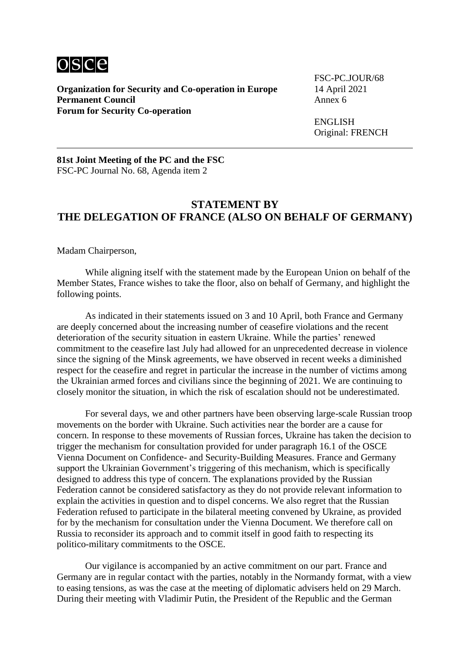

**Organization for Security and Co-operation in Europe** 14 April 2021<br>**Permanent Council** Annex 6 **Permanent Council Forum for Security Co-operation**

FSC-PC.JOUR/68

ENGLISH Original: FRENCH

**81st Joint Meeting of the PC and the FSC** FSC-PC Journal No. 68, Agenda item 2

#### **STATEMENT BY THE DELEGATION OF FRANCE (ALSO ON BEHALF OF GERMANY)**

Madam Chairperson,

While aligning itself with the statement made by the European Union on behalf of the Member States, France wishes to take the floor, also on behalf of Germany, and highlight the following points.

As indicated in their statements issued on 3 and 10 April, both France and Germany are deeply concerned about the increasing number of ceasefire violations and the recent deterioration of the security situation in eastern Ukraine. While the parties' renewed commitment to the ceasefire last July had allowed for an unprecedented decrease in violence since the signing of the Minsk agreements, we have observed in recent weeks a diminished respect for the ceasefire and regret in particular the increase in the number of victims among the Ukrainian armed forces and civilians since the beginning of 2021. We are continuing to closely monitor the situation, in which the risk of escalation should not be underestimated.

For several days, we and other partners have been observing large-scale Russian troop movements on the border with Ukraine. Such activities near the border are a cause for concern. In response to these movements of Russian forces, Ukraine has taken the decision to trigger the mechanism for consultation provided for under paragraph 16.1 of the OSCE Vienna Document on Confidence- and Security-Building Measures. France and Germany support the Ukrainian Government's triggering of this mechanism, which is specifically designed to address this type of concern. The explanations provided by the Russian Federation cannot be considered satisfactory as they do not provide relevant information to explain the activities in question and to dispel concerns. We also regret that the Russian Federation refused to participate in the bilateral meeting convened by Ukraine, as provided for by the mechanism for consultation under the Vienna Document. We therefore call on Russia to reconsider its approach and to commit itself in good faith to respecting its politico-military commitments to the OSCE.

Our vigilance is accompanied by an active commitment on our part. France and Germany are in regular contact with the parties, notably in the Normandy format, with a view to easing tensions, as was the case at the meeting of diplomatic advisers held on 29 March. During their meeting with Vladimir Putin, the President of the Republic and the German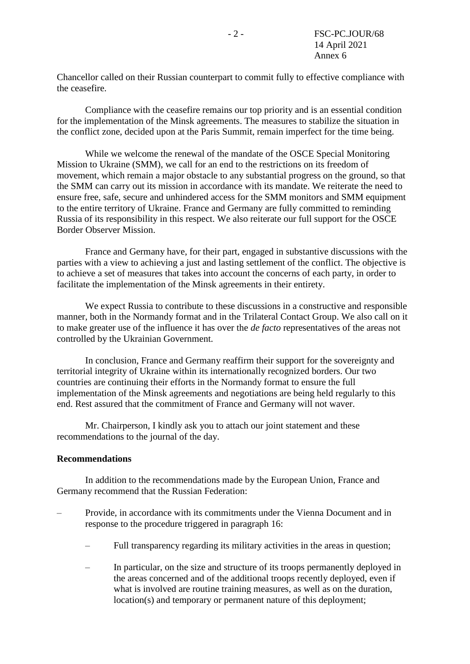Chancellor called on their Russian counterpart to commit fully to effective compliance with the ceasefire.

Compliance with the ceasefire remains our top priority and is an essential condition for the implementation of the Minsk agreements. The measures to stabilize the situation in the conflict zone, decided upon at the Paris Summit, remain imperfect for the time being.

While we welcome the renewal of the mandate of the OSCE Special Monitoring Mission to Ukraine (SMM), we call for an end to the restrictions on its freedom of movement, which remain a major obstacle to any substantial progress on the ground, so that the SMM can carry out its mission in accordance with its mandate. We reiterate the need to ensure free, safe, secure and unhindered access for the SMM monitors and SMM equipment to the entire territory of Ukraine. France and Germany are fully committed to reminding Russia of its responsibility in this respect. We also reiterate our full support for the OSCE Border Observer Mission.

France and Germany have, for their part, engaged in substantive discussions with the parties with a view to achieving a just and lasting settlement of the conflict. The objective is to achieve a set of measures that takes into account the concerns of each party, in order to facilitate the implementation of the Minsk agreements in their entirety.

We expect Russia to contribute to these discussions in a constructive and responsible manner, both in the Normandy format and in the Trilateral Contact Group. We also call on it to make greater use of the influence it has over the *de facto* representatives of the areas not controlled by the Ukrainian Government.

In conclusion, France and Germany reaffirm their support for the sovereignty and territorial integrity of Ukraine within its internationally recognized borders. Our two countries are continuing their efforts in the Normandy format to ensure the full implementation of the Minsk agreements and negotiations are being held regularly to this end. Rest assured that the commitment of France and Germany will not waver.

Mr. Chairperson, I kindly ask you to attach our joint statement and these recommendations to the journal of the day.

#### **Recommendations**

In addition to the recommendations made by the European Union, France and Germany recommend that the Russian Federation:

- Provide, in accordance with its commitments under the Vienna Document and in response to the procedure triggered in paragraph 16:
	- Full transparency regarding its military activities in the areas in question;
	- In particular, on the size and structure of its troops permanently deployed in the areas concerned and of the additional troops recently deployed, even if what is involved are routine training measures, as well as on the duration, location(s) and temporary or permanent nature of this deployment;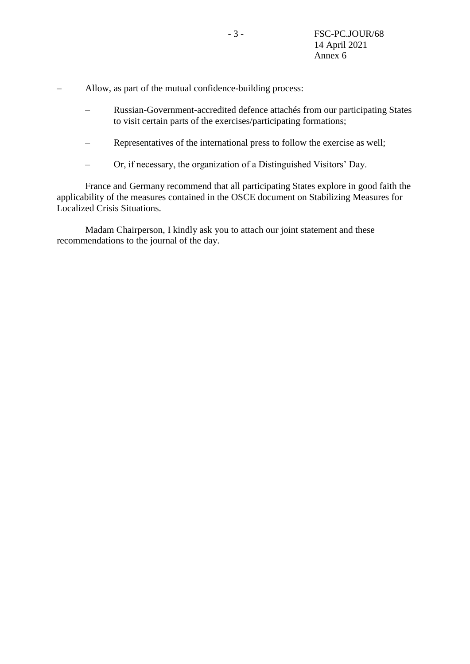– Allow, as part of the mutual confidence-building process:

- Russian-Government-accredited defence attachés from our participating States to visit certain parts of the exercises/participating formations;
- Representatives of the international press to follow the exercise as well;
- Or, if necessary, the organization of a Distinguished Visitors' Day.

France and Germany recommend that all participating States explore in good faith the applicability of the measures contained in the OSCE document on Stabilizing Measures for Localized Crisis Situations.

Madam Chairperson, I kindly ask you to attach our joint statement and these recommendations to the journal of the day.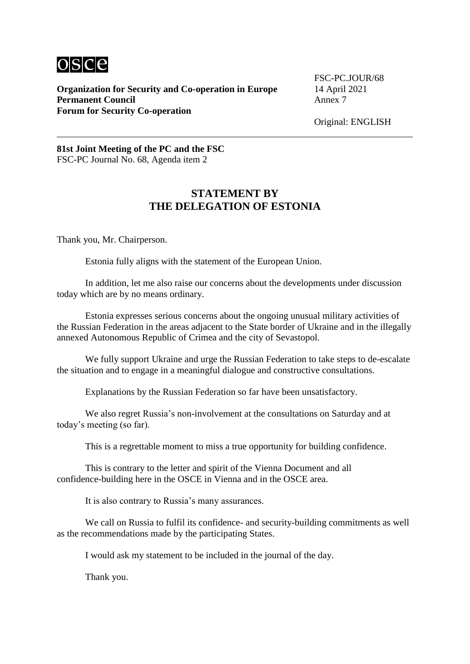

**Organization for Security and Co-operation in Europe** 14 April 2021<br>**Permanent Council** Annex 7 **Permanent Council Forum for Security Co-operation**

FSC-PC.JOUR/68

Original: ENGLISH

**81st Joint Meeting of the PC and the FSC** FSC-PC Journal No. 68, Agenda item 2

### **STATEMENT BY THE DELEGATION OF ESTONIA**

Thank you, Mr. Chairperson.

Estonia fully aligns with the statement of the European Union.

In addition, let me also raise our concerns about the developments under discussion today which are by no means ordinary.

Estonia expresses serious concerns about the ongoing unusual military activities of the Russian Federation in the areas adjacent to the State border of Ukraine and in the illegally annexed Autonomous Republic of Crimea and the city of Sevastopol.

We fully support Ukraine and urge the Russian Federation to take steps to de-escalate the situation and to engage in a meaningful dialogue and constructive consultations.

Explanations by the Russian Federation so far have been unsatisfactory.

We also regret Russia's non-involvement at the consultations on Saturday and at today's meeting (so far).

This is a regrettable moment to miss a true opportunity for building confidence.

This is contrary to the letter and spirit of the Vienna Document and all confidence-building here in the OSCE in Vienna and in the OSCE area.

It is also contrary to Russia's many assurances.

We call on Russia to fulfil its confidence- and security-building commitments as well as the recommendations made by the participating States.

I would ask my statement to be included in the journal of the day.

Thank you.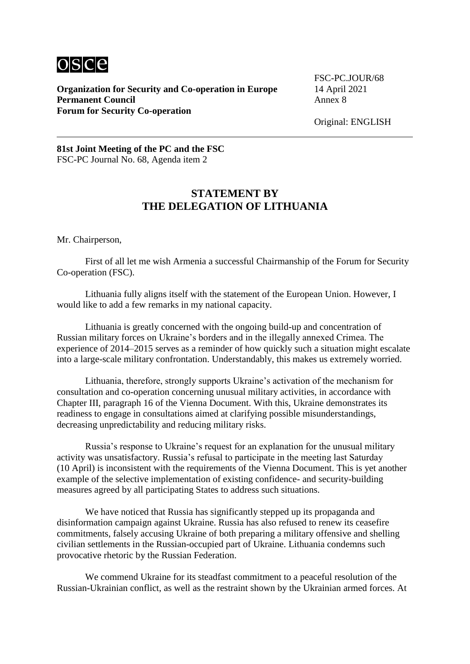

**Organization for Security and Co-operation in Europe** 14 April 2021<br>**Permanent Council** Annex 8 **Permanent Council Forum for Security Co-operation**

FSC-PC.JOUR/68

Original: ENGLISH

**81st Joint Meeting of the PC and the FSC** FSC-PC Journal No. 68, Agenda item 2

### **STATEMENT BY THE DELEGATION OF LITHUANIA**

Mr. Chairperson,

First of all let me wish Armenia a successful Chairmanship of the Forum for Security Co-operation (FSC).

Lithuania fully aligns itself with the statement of the European Union. However, I would like to add a few remarks in my national capacity.

Lithuania is greatly concerned with the ongoing build-up and concentration of Russian military forces on Ukraine's borders and in the illegally annexed Crimea. The experience of 2014–2015 serves as a reminder of how quickly such a situation might escalate into a large-scale military confrontation. Understandably, this makes us extremely worried.

Lithuania, therefore, strongly supports Ukraine's activation of the mechanism for consultation and co-operation concerning unusual military activities, in accordance with Chapter III, paragraph 16 of the Vienna Document. With this, Ukraine demonstrates its readiness to engage in consultations aimed at clarifying possible misunderstandings, decreasing unpredictability and reducing military risks.

Russia's response to Ukraine's request for an explanation for the unusual military activity was unsatisfactory. Russia's refusal to participate in the meeting last Saturday (10 April) is inconsistent with the requirements of the Vienna Document. This is yet another example of the selective implementation of existing confidence- and security-building measures agreed by all participating States to address such situations.

We have noticed that Russia has significantly stepped up its propaganda and disinformation campaign against Ukraine. Russia has also refused to renew its ceasefire commitments, falsely accusing Ukraine of both preparing a military offensive and shelling civilian settlements in the Russian-occupied part of Ukraine. Lithuania condemns such provocative rhetoric by the Russian Federation.

We commend Ukraine for its steadfast commitment to a peaceful resolution of the Russian-Ukrainian conflict, as well as the restraint shown by the Ukrainian armed forces. At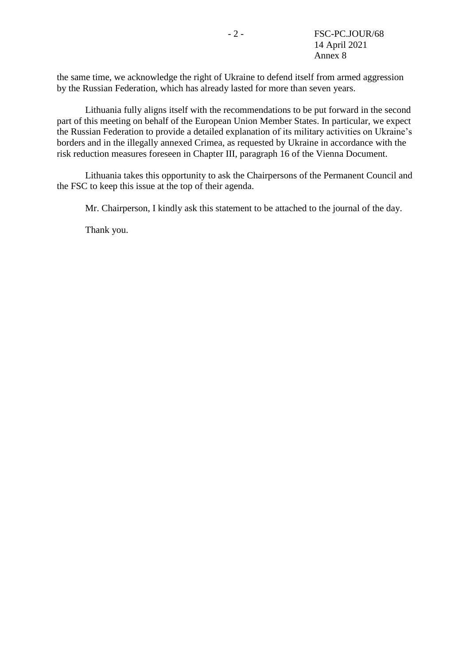the same time, we acknowledge the right of Ukraine to defend itself from armed aggression by the Russian Federation, which has already lasted for more than seven years.

Lithuania fully aligns itself with the recommendations to be put forward in the second part of this meeting on behalf of the European Union Member States. In particular, we expect the Russian Federation to provide a detailed explanation of its military activities on Ukraine's borders and in the illegally annexed Crimea, as requested by Ukraine in accordance with the risk reduction measures foreseen in Chapter III, paragraph 16 of the Vienna Document.

Lithuania takes this opportunity to ask the Chairpersons of the Permanent Council and the FSC to keep this issue at the top of their agenda.

Mr. Chairperson, I kindly ask this statement to be attached to the journal of the day.

Thank you.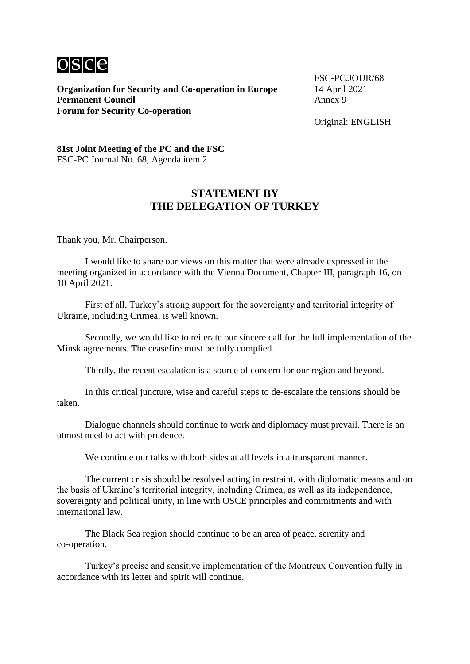

**Organization for Security and Co-operation in Europe** 14 April 2021<br>**Permanent Council** Annex 9 **Permanent Council Forum for Security Co-operation**

FSC-PC.JOUR/68

Original: ENGLISH

**81st Joint Meeting of the PC and the FSC** FSC-PC Journal No. 68, Agenda item 2

### **STATEMENT BY THE DELEGATION OF TURKEY**

Thank you, Mr. Chairperson.

I would like to share our views on this matter that were already expressed in the meeting organized in accordance with the Vienna Document, Chapter III, paragraph 16, on 10 April 2021.

First of all, Turkey's strong support for the sovereignty and territorial integrity of Ukraine, including Crimea, is well known.

Secondly, we would like to reiterate our sincere call for the full implementation of the Minsk agreements. The ceasefire must be fully complied.

Thirdly, the recent escalation is a source of concern for our region and beyond.

In this critical juncture, wise and careful steps to de-escalate the tensions should be taken.

Dialogue channels should continue to work and diplomacy must prevail. There is an utmost need to act with prudence.

We continue our talks with both sides at all levels in a transparent manner.

The current crisis should be resolved acting in restraint, with diplomatic means and on the basis of Ukraine's territorial integrity, including Crimea, as well as its independence, sovereignty and political unity, in line with OSCE principles and commitments and with international law.

The Black Sea region should continue to be an area of peace, serenity and co-operation.

Turkey's precise and sensitive implementation of the Montreux Convention fully in accordance with its letter and spirit will continue.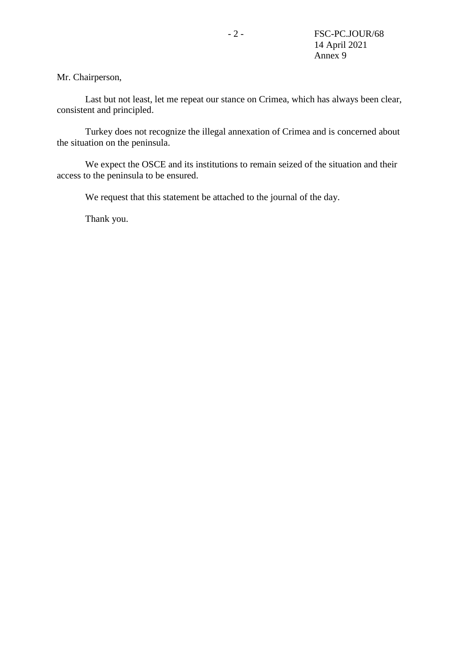Mr. Chairperson,

Last but not least, let me repeat our stance on Crimea, which has always been clear, consistent and principled.

Turkey does not recognize the illegal annexation of Crimea and is concerned about the situation on the peninsula.

We expect the OSCE and its institutions to remain seized of the situation and their access to the peninsula to be ensured.

We request that this statement be attached to the journal of the day.

Thank you.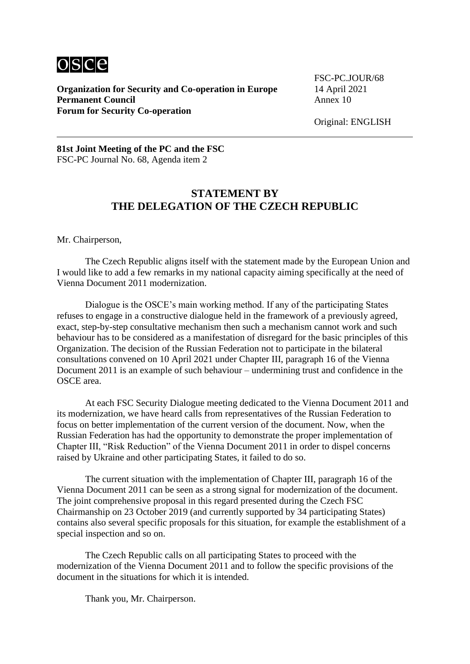

**Organization for Security and Co-operation in Europe** 14 April 2021<br>**Permanent Council** Annex 10 **Permanent Council Forum for Security Co-operation**

FSC-PC.JOUR/68

Original: ENGLISH

#### **81st Joint Meeting of the PC and the FSC** FSC-PC Journal No. 68, Agenda item 2

# **STATEMENT BY THE DELEGATION OF THE CZECH REPUBLIC**

Mr. Chairperson,

The Czech Republic aligns itself with the statement made by the European Union and I would like to add a few remarks in my national capacity aiming specifically at the need of Vienna Document 2011 modernization.

Dialogue is the OSCE's main working method. If any of the participating States refuses to engage in a constructive dialogue held in the framework of a previously agreed, exact, step-by-step consultative mechanism then such a mechanism cannot work and such behaviour has to be considered as a manifestation of disregard for the basic principles of this Organization. The decision of the Russian Federation not to participate in the bilateral consultations convened on 10 April 2021 under Chapter III, paragraph 16 of the Vienna Document 2011 is an example of such behaviour – undermining trust and confidence in the OSCE area.

At each FSC Security Dialogue meeting dedicated to the Vienna Document 2011 and its modernization, we have heard calls from representatives of the Russian Federation to focus on better implementation of the current version of the document. Now, when the Russian Federation has had the opportunity to demonstrate the proper implementation of Chapter III, "Risk Reduction" of the Vienna Document 2011 in order to dispel concerns raised by Ukraine and other participating States, it failed to do so.

The current situation with the implementation of Chapter III, paragraph 16 of the Vienna Document 2011 can be seen as a strong signal for modernization of the document. The joint comprehensive proposal in this regard presented during the Czech FSC Chairmanship on 23 October 2019 (and currently supported by 34 participating States) contains also several specific proposals for this situation, for example the establishment of a special inspection and so on.

The Czech Republic calls on all participating States to proceed with the modernization of the Vienna Document 2011 and to follow the specific provisions of the document in the situations for which it is intended.

Thank you, Mr. Chairperson.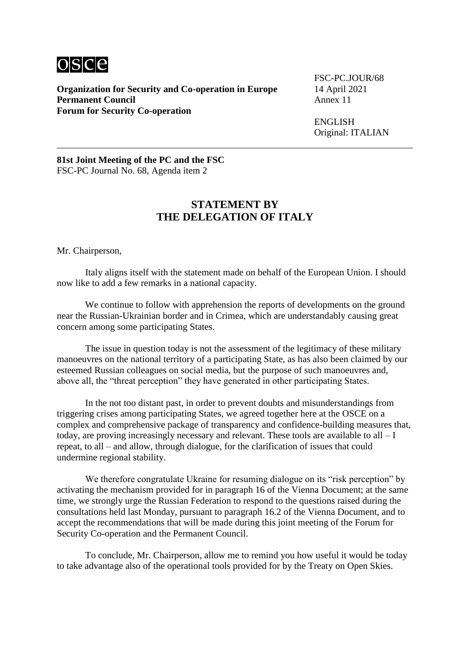

**Organization for Security and Co-operation in Europe** 14 April 2021<br>**Permanent Council** Annex 11 **Permanent Council Forum for Security Co-operation**

FSC-PC.JOUR/68

ENGLISH Original: ITALIAN

**81st Joint Meeting of the PC and the FSC** FSC-PC Journal No. 68, Agenda item 2

### **STATEMENT BY THE DELEGATION OF ITALY**

Mr. Chairperson,

Italy aligns itself with the statement made on behalf of the European Union. I should now like to add a few remarks in a national capacity.

We continue to follow with apprehension the reports of developments on the ground near the Russian-Ukrainian border and in Crimea, which are understandably causing great concern among some participating States.

The issue in question today is not the assessment of the legitimacy of these military manoeuvres on the national territory of a participating State, as has also been claimed by our esteemed Russian colleagues on social media, but the purpose of such manoeuvres and, above all, the "threat perception" they have generated in other participating States.

In the not too distant past, in order to prevent doubts and misunderstandings from triggering crises among participating States, we agreed together here at the OSCE on a complex and comprehensive package of transparency and confidence-building measures that, today, are proving increasingly necessary and relevant. These tools are available to all – I repeat, to all – and allow, through dialogue, for the clarification of issues that could undermine regional stability.

We therefore congratulate Ukraine for resuming dialogue on its "risk perception" by activating the mechanism provided for in paragraph 16 of the Vienna Document; at the same time, we strongly urge the Russian Federation to respond to the questions raised during the consultations held last Monday, pursuant to paragraph 16.2 of the Vienna Document, and to accept the recommendations that will be made during this joint meeting of the Forum for Security Co-operation and the Permanent Council.

To conclude, Mr. Chairperson, allow me to remind you how useful it would be today to take advantage also of the operational tools provided for by the Treaty on Open Skies.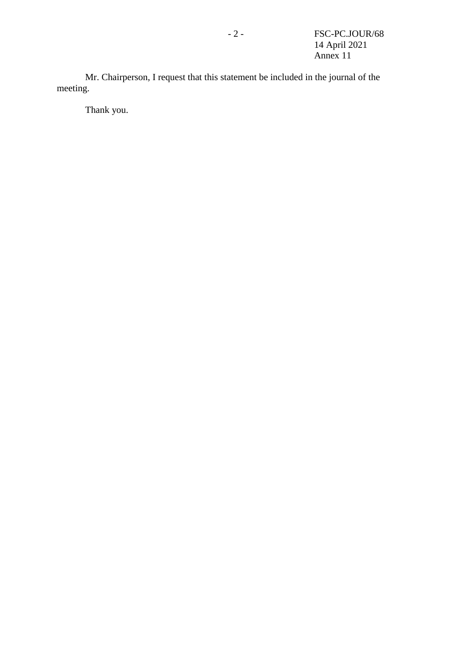Mr. Chairperson, I request that this statement be included in the journal of the meeting.

Thank you.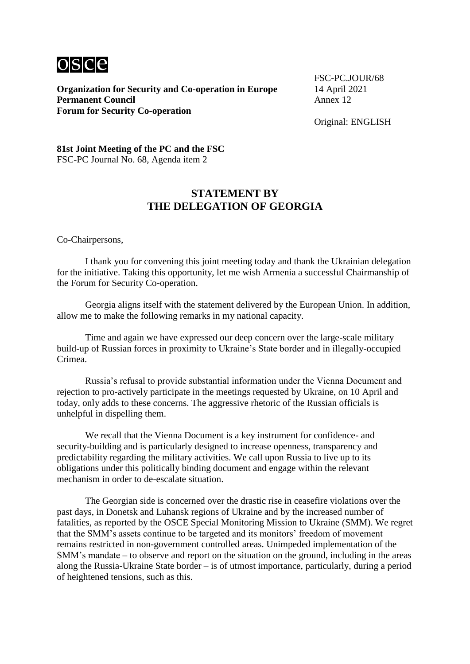

**Organization for Security and Co-operation in Europe** 14 April 2021<br>**Permanent Council** Annex 12 **Permanent Council Forum for Security Co-operation**

FSC-PC.JOUR/68

Original: ENGLISH

**81st Joint Meeting of the PC and the FSC** FSC-PC Journal No. 68, Agenda item 2

### **STATEMENT BY THE DELEGATION OF GEORGIA**

Co-Chairpersons,

I thank you for convening this joint meeting today and thank the Ukrainian delegation for the initiative. Taking this opportunity, let me wish Armenia a successful Chairmanship of the Forum for Security Co-operation.

Georgia aligns itself with the statement delivered by the European Union. In addition, allow me to make the following remarks in my national capacity.

Time and again we have expressed our deep concern over the large-scale military build-up of Russian forces in proximity to Ukraine's State border and in illegally-occupied Crimea.

Russia's refusal to provide substantial information under the Vienna Document and rejection to pro-actively participate in the meetings requested by Ukraine, on 10 April and today, only adds to these concerns. The aggressive rhetoric of the Russian officials is unhelpful in dispelling them.

We recall that the Vienna Document is a key instrument for confidence- and security-building and is particularly designed to increase openness, transparency and predictability regarding the military activities. We call upon Russia to live up to its obligations under this politically binding document and engage within the relevant mechanism in order to de-escalate situation.

The Georgian side is concerned over the drastic rise in ceasefire violations over the past days, in Donetsk and Luhansk regions of Ukraine and by the increased number of fatalities, as reported by the OSCE Special Monitoring Mission to Ukraine (SMM). We regret that the SMM's assets continue to be targeted and its monitors' freedom of movement remains restricted in non-government controlled areas. Unimpeded implementation of the SMM's mandate – to observe and report on the situation on the ground, including in the areas along the Russia-Ukraine State border – is of utmost importance, particularly, during a period of heightened tensions, such as this.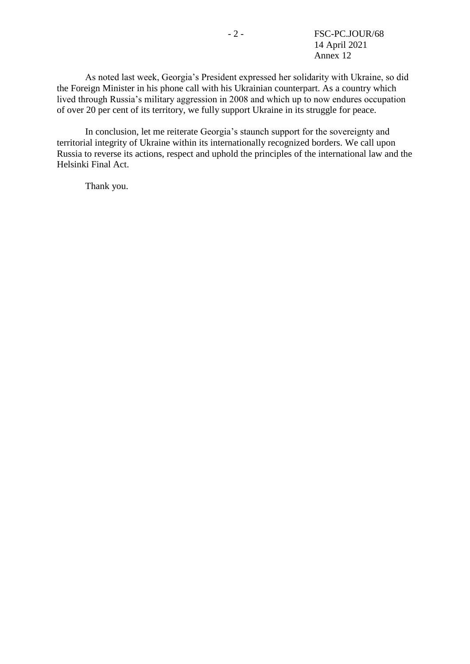As noted last week, Georgia's President expressed her solidarity with Ukraine, so did the Foreign Minister in his phone call with his Ukrainian counterpart. As a country which lived through Russia's military aggression in 2008 and which up to now endures occupation of over 20 per cent of its territory, we fully support Ukraine in its struggle for peace.

In conclusion, let me reiterate Georgia's staunch support for the sovereignty and territorial integrity of Ukraine within its internationally recognized borders. We call upon Russia to reverse its actions, respect and uphold the principles of the international law and the Helsinki Final Act.

Thank you.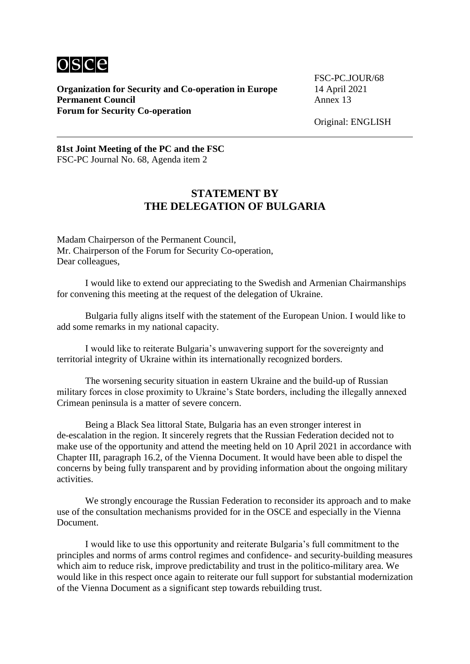

**Organization for Security and Co-operation in Europe** 14 April 2021<br>**Permanent Council** Annex 13 **Permanent Council Forum for Security Co-operation**

FSC-PC.JOUR/68

Original: ENGLISH

#### **81st Joint Meeting of the PC and the FSC** FSC-PC Journal No. 68, Agenda item 2

### **STATEMENT BY THE DELEGATION OF BULGARIA**

Madam Chairperson of the Permanent Council, Mr. Chairperson of the Forum for Security Co-operation, Dear colleagues,

I would like to extend our appreciating to the Swedish and Armenian Chairmanships for convening this meeting at the request of the delegation of Ukraine.

Bulgaria fully aligns itself with the statement of the European Union. I would like to add some remarks in my national capacity.

I would like to reiterate Bulgaria's unwavering support for the sovereignty and territorial integrity of Ukraine within its internationally recognized borders.

The worsening security situation in eastern Ukraine and the build-up of Russian military forces in close proximity to Ukraine's State borders, including the illegally annexed Crimean peninsula is a matter of severe concern.

Being a Black Sea littoral State, Bulgaria has an even stronger interest in de-escalation in the region. It sincerely regrets that the Russian Federation decided not to make use of the opportunity and attend the meeting held on 10 April 2021 in accordance with Chapter III, paragraph 16.2, of the Vienna Document. It would have been able to dispel the concerns by being fully transparent and by providing information about the ongoing military activities.

We strongly encourage the Russian Federation to reconsider its approach and to make use of the consultation mechanisms provided for in the OSCE and especially in the Vienna Document.

I would like to use this opportunity and reiterate Bulgaria's full commitment to the principles and norms of arms control regimes and confidence- and security-building measures which aim to reduce risk, improve predictability and trust in the politico-military area. We would like in this respect once again to reiterate our full support for substantial modernization of the Vienna Document as a significant step towards rebuilding trust.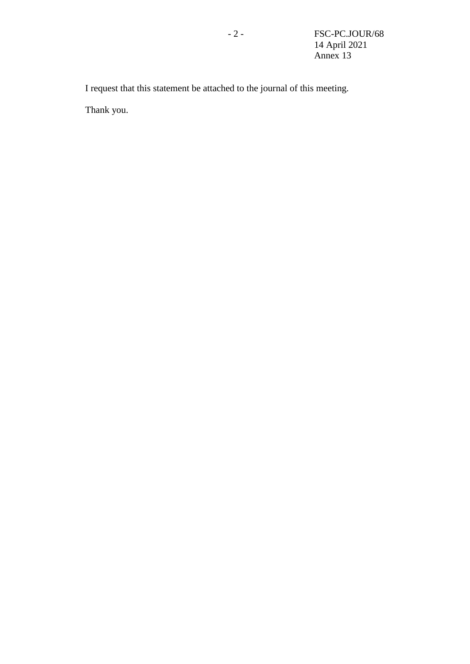I request that this statement be attached to the journal of this meeting.

Thank you.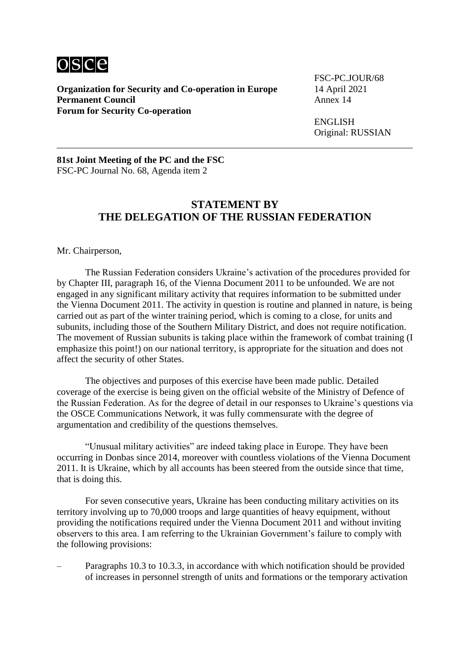

**Organization for Security and Co-operation in Europe** 14 April 2021<br>**Permanent Council** Annex 14 **Permanent Council Forum for Security Co-operation**

FSC-PC.JOUR/68

ENGLISH Original: RUSSIAN

**81st Joint Meeting of the PC and the FSC** FSC-PC Journal No. 68, Agenda item 2

#### **STATEMENT BY THE DELEGATION OF THE RUSSIAN FEDERATION**

Mr. Chairperson,

The Russian Federation considers Ukraine's activation of the procedures provided for by Chapter III, paragraph 16, of the Vienna Document 2011 to be unfounded. We are not engaged in any significant military activity that requires information to be submitted under the Vienna Document 2011. The activity in question is routine and planned in nature, is being carried out as part of the winter training period, which is coming to a close, for units and subunits, including those of the Southern Military District, and does not require notification. The movement of Russian subunits is taking place within the framework of combat training (I emphasize this point!) on our national territory, is appropriate for the situation and does not affect the security of other States.

The objectives and purposes of this exercise have been made public. Detailed coverage of the exercise is being given on the official website of the Ministry of Defence of the Russian Federation. As for the degree of detail in our responses to Ukraine's questions via the OSCE Communications Network, it was fully commensurate with the degree of argumentation and credibility of the questions themselves.

"Unusual military activities" are indeed taking place in Europe. They have been occurring in Donbas since 2014, moreover with countless violations of the Vienna Document 2011. It is Ukraine, which by all accounts has been steered from the outside since that time, that is doing this.

For seven consecutive years, Ukraine has been conducting military activities on its territory involving up to 70,000 troops and large quantities of heavy equipment, without providing the notifications required under the Vienna Document 2011 and without inviting observers to this area. I am referring to the Ukrainian Government's failure to comply with the following provisions:

– Paragraphs 10.3 to 10.3.3, in accordance with which notification should be provided of increases in personnel strength of units and formations or the temporary activation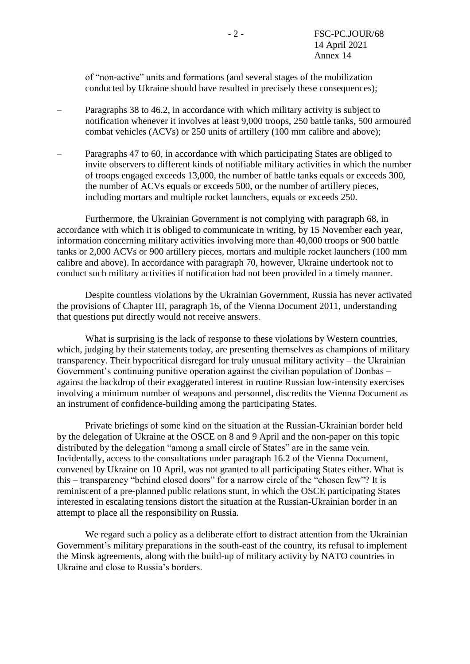of "non-active" units and formations (and several stages of the mobilization conducted by Ukraine should have resulted in precisely these consequences);

- Paragraphs 38 to 46.2, in accordance with which military activity is subject to notification whenever it involves at least 9,000 troops, 250 battle tanks, 500 armoured combat vehicles (ACVs) or 250 units of artillery (100 mm calibre and above);
- Paragraphs 47 to 60, in accordance with which participating States are obliged to invite observers to different kinds of notifiable military activities in which the number of troops engaged exceeds 13,000, the number of battle tanks equals or exceeds 300, the number of ACVs equals or exceeds 500, or the number of artillery pieces, including mortars and multiple rocket launchers, equals or exceeds 250.

Furthermore, the Ukrainian Government is not complying with paragraph 68, in accordance with which it is obliged to communicate in writing, by 15 November each year, information concerning military activities involving more than 40,000 troops or 900 battle tanks or 2,000 ACVs or 900 artillery pieces, mortars and multiple rocket launchers (100 mm calibre and above). In accordance with paragraph 70, however, Ukraine undertook not to conduct such military activities if notification had not been provided in a timely manner.

Despite countless violations by the Ukrainian Government, Russia has never activated the provisions of Chapter III, paragraph 16, of the Vienna Document 2011, understanding that questions put directly would not receive answers.

What is surprising is the lack of response to these violations by Western countries, which, judging by their statements today, are presenting themselves as champions of military transparency. Their hypocritical disregard for truly unusual military activity – the Ukrainian Government's continuing punitive operation against the civilian population of Donbas – against the backdrop of their exaggerated interest in routine Russian low-intensity exercises involving a minimum number of weapons and personnel, discredits the Vienna Document as an instrument of confidence-building among the participating States.

Private briefings of some kind on the situation at the Russian-Ukrainian border held by the delegation of Ukraine at the OSCE on 8 and 9 April and the non-paper on this topic distributed by the delegation "among a small circle of States" are in the same vein. Incidentally, access to the consultations under paragraph 16.2 of the Vienna Document, convened by Ukraine on 10 April, was not granted to all participating States either. What is this – transparency "behind closed doors" for a narrow circle of the "chosen few"? It is reminiscent of a pre-planned public relations stunt, in which the OSCE participating States interested in escalating tensions distort the situation at the Russian-Ukrainian border in an attempt to place all the responsibility on Russia.

We regard such a policy as a deliberate effort to distract attention from the Ukrainian Government's military preparations in the south-east of the country, its refusal to implement the Minsk agreements, along with the build-up of military activity by NATO countries in Ukraine and close to Russia's borders.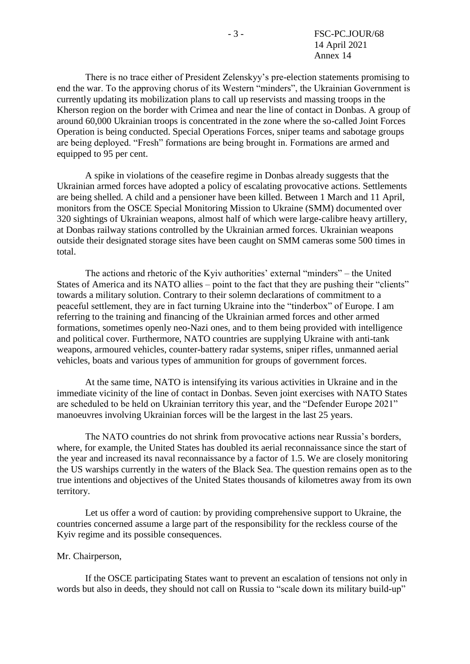There is no trace either of President Zelenskyy's pre-election statements promising to end the war. To the approving chorus of its Western "minders", the Ukrainian Government is currently updating its mobilization plans to call up reservists and massing troops in the Kherson region on the border with Crimea and near the line of contact in Donbas. A group of around 60,000 Ukrainian troops is concentrated in the zone where the so-called Joint Forces Operation is being conducted. Special Operations Forces, sniper teams and sabotage groups are being deployed. "Fresh" formations are being brought in. Formations are armed and equipped to 95 per cent.

A spike in violations of the ceasefire regime in Donbas already suggests that the Ukrainian armed forces have adopted a policy of escalating provocative actions. Settlements are being shelled. A child and a pensioner have been killed. Between 1 March and 11 April, monitors from the OSCE Special Monitoring Mission to Ukraine (SMM) documented over 320 sightings of Ukrainian weapons, almost half of which were large-calibre heavy artillery, at Donbas railway stations controlled by the Ukrainian armed forces. Ukrainian weapons outside their designated storage sites have been caught on SMM cameras some 500 times in total.

The actions and rhetoric of the Kyiv authorities' external "minders" – the United States of America and its NATO allies – point to the fact that they are pushing their "clients" towards a military solution. Contrary to their solemn declarations of commitment to a peaceful settlement, they are in fact turning Ukraine into the "tinderbox" of Europe. I am referring to the training and financing of the Ukrainian armed forces and other armed formations, sometimes openly neo-Nazi ones, and to them being provided with intelligence and political cover. Furthermore, NATO countries are supplying Ukraine with anti-tank weapons, armoured vehicles, counter-battery radar systems, sniper rifles, unmanned aerial vehicles, boats and various types of ammunition for groups of government forces.

At the same time, NATO is intensifying its various activities in Ukraine and in the immediate vicinity of the line of contact in Donbas. Seven joint exercises with NATO States are scheduled to be held on Ukrainian territory this year, and the "Defender Europe 2021" manoeuvres involving Ukrainian forces will be the largest in the last 25 years.

The NATO countries do not shrink from provocative actions near Russia's borders, where, for example, the United States has doubled its aerial reconnaissance since the start of the year and increased its naval reconnaissance by a factor of 1.5. We are closely monitoring the US warships currently in the waters of the Black Sea. The question remains open as to the true intentions and objectives of the United States thousands of kilometres away from its own territory.

Let us offer a word of caution: by providing comprehensive support to Ukraine, the countries concerned assume a large part of the responsibility for the reckless course of the Kyiv regime and its possible consequences.

#### Mr. Chairperson,

If the OSCE participating States want to prevent an escalation of tensions not only in words but also in deeds, they should not call on Russia to "scale down its military build-up"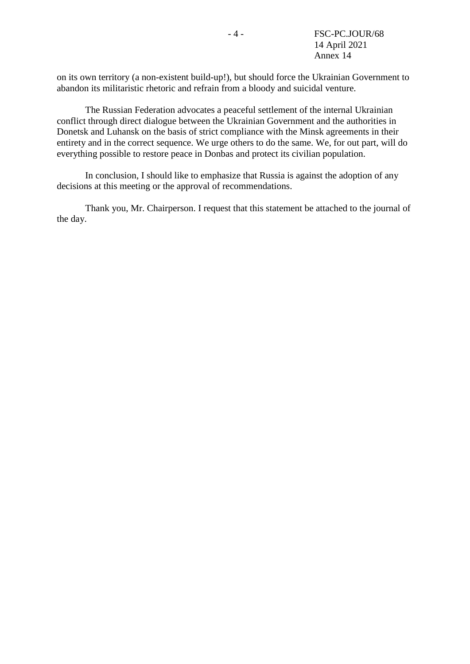on its own territory (a non-existent build-up!), but should force the Ukrainian Government to abandon its militaristic rhetoric and refrain from a bloody and suicidal venture.

The Russian Federation advocates a peaceful settlement of the internal Ukrainian conflict through direct dialogue between the Ukrainian Government and the authorities in Donetsk and Luhansk on the basis of strict compliance with the Minsk agreements in their entirety and in the correct sequence. We urge others to do the same. We, for out part, will do everything possible to restore peace in Donbas and protect its civilian population.

In conclusion, I should like to emphasize that Russia is against the adoption of any decisions at this meeting or the approval of recommendations.

Thank you, Mr. Chairperson. I request that this statement be attached to the journal of the day.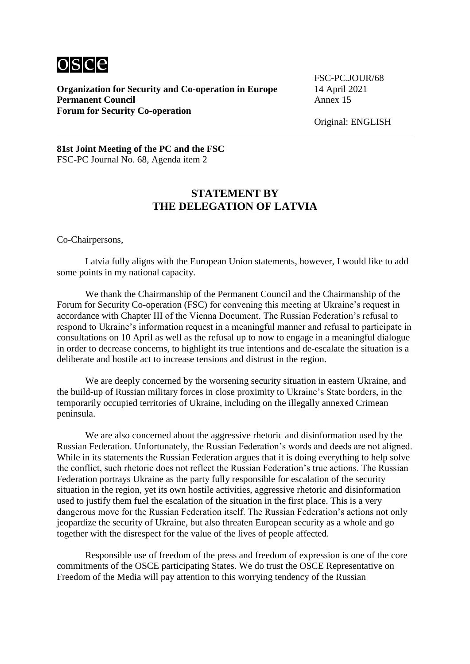

**Organization for Security and Co-operation in Europe** 14 April 2021<br>**Permanent Council** Annex 15 **Permanent Council Forum for Security Co-operation**

FSC-PC.JOUR/68

Original: ENGLISH

**81st Joint Meeting of the PC and the FSC** FSC-PC Journal No. 68, Agenda item 2

### **STATEMENT BY THE DELEGATION OF LATVIA**

Co-Chairpersons,

Latvia fully aligns with the European Union statements, however, I would like to add some points in my national capacity.

We thank the Chairmanship of the Permanent Council and the Chairmanship of the Forum for Security Co-operation (FSC) for convening this meeting at Ukraine's request in accordance with Chapter III of the Vienna Document. The Russian Federation's refusal to respond to Ukraine's information request in a meaningful manner and refusal to participate in consultations on 10 April as well as the refusal up to now to engage in a meaningful dialogue in order to decrease concerns, to highlight its true intentions and de-escalate the situation is a deliberate and hostile act to increase tensions and distrust in the region.

We are deeply concerned by the worsening security situation in eastern Ukraine, and the build-up of Russian military forces in close proximity to Ukraine's State borders, in the temporarily occupied territories of Ukraine, including on the illegally annexed Crimean peninsula.

We are also concerned about the aggressive rhetoric and disinformation used by the Russian Federation. Unfortunately, the Russian Federation's words and deeds are not aligned. While in its statements the Russian Federation argues that it is doing everything to help solve the conflict, such rhetoric does not reflect the Russian Federation's true actions. The Russian Federation portrays Ukraine as the party fully responsible for escalation of the security situation in the region, yet its own hostile activities, aggressive rhetoric and disinformation used to justify them fuel the escalation of the situation in the first place. This is a very dangerous move for the Russian Federation itself. The Russian Federation's actions not only jeopardize the security of Ukraine, but also threaten European security as a whole and go together with the disrespect for the value of the lives of people affected.

Responsible use of freedom of the press and freedom of expression is one of the core commitments of the OSCE participating States. We do trust the OSCE Representative on Freedom of the Media will pay attention to this worrying tendency of the Russian